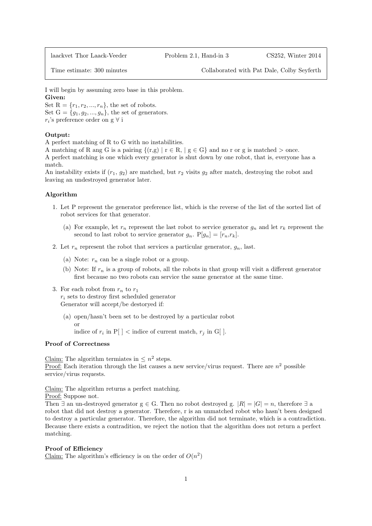laackvet Thor Laack-Veeder Problem 2.1, Hand-in 3 CS252, Winter 2014

Time estimate: 300 minutes Collaborated with Pat Dale, Colby Seyferth

I will begin by assuming zero base in this problem. Given:

Set  $R = \{r_1, r_2, ..., r_n\}$ , the set of robots. Set  $G = \{g_1, g_2, ..., g_n\}$ , the set of generators.  $r_i$ 's preference order on g $\forall$ i

## Output:

A perfect matching of R to G with no instabilities.

A matching of R ang G is a pairing  $\{(r,g) | r \in R, | g \in G\}$  and no r or g is matched  $>$  once.

A perfect matching is one which every generator is shut down by one robot, that is, everyone has a match.

An instability exists if  $(r_1, g_2)$  are matched, but  $r_2$  visits  $g_2$  after match, destroying the robot and leaving an undestroyed generator later.

## Algorithm

- 1. Let P represent the generator preference list, which is the reverse of the list of the sorted list of robot services for that generator.
	- (a) For example, let  $r_n$  represent the last robot to service generator  $g_n$  and let  $r_k$  represent the second to last robot to service generator  $g_n$ .  $P[g_n] = [r_n, r_k]$ .
- 2. Let  $r_n$  represent the robot that services a particular generator,  $g_n$ , last.
	- (a) Note:  $r_n$  can be a single robot or a group.
	- (b) Note: If  $r_n$  is a group of robots, all the robots in that group will visit a different generator first because no two robots can service the same generator at the same time.
- 3. For each robot from  $r_n$  to  $r_1$

 $r_i$  sets to destroy first scheduled generator Generator will accept/be destoryed if:

(a) open/hasn't been set to be destroyed by a particular robot or

indice of  $r_i$  in  $P[$  |  $\lt$  indice of current match,  $r_j$  in G[].

## Proof of Correctness

Claim: The algorithm termiates in  $\leq n^2$  steps. <u>Proof:</u> Each iteration through the list causes a new service/virus request. There are  $n^2$  possible service/virus requests.

Claim: The algorithm returns a perfect matching.

Proof: Suppose not.

Then  $\exists$  an un-destroyed generator  $g \in G$ . Then no robot destroyed g.  $|R| = |G| = n$ , therefore  $\exists$  a robot that did not destroy a generator. Therefore, r is an unmatched robot who hasn't been designed to destroy a particular generator. Therefore, the algorithm did not terminate, which is a contradiction. Because there exists a contradition, we reject the notion that the algorithm does not return a perfect matching.

## Proof of Efficiency

Claim: The algorithm's efficiency is on the order of  $O(n^2)$